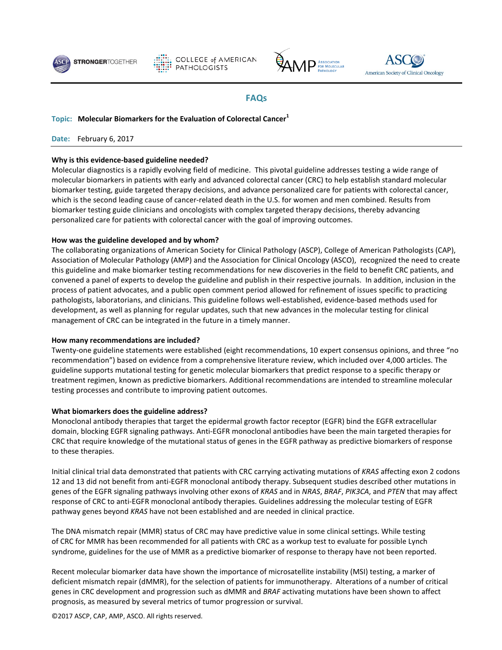





# **FAQs**

## **Topic: Molecular Biomarkers for the Evaluation of Colorectal Cancer<sup>1</sup>**

**Date:** February 6, 2017

## **Why is this evidence-based guideline needed?**

Molecular diagnostics is a rapidly evolving field of medicine. This pivotal guideline addresses testing a wide range of molecular biomarkers in patients with early and advanced colorectal cancer (CRC) to help establish standard molecular biomarker testing, guide targeted therapy decisions, and advance personalized care for patients with colorectal cancer, which is the second leading cause of cancer-related death in the U.S. for women and men combined. Results from biomarker testing guide clinicians and oncologists with complex targeted therapy decisions, thereby advancing personalized care for patients with colorectal cancer with the goal of improving outcomes.

## **How was the guideline developed and by whom?**

The collaborating organizations of American Society for Clinical Pathology (ASCP), College of American Pathologists (CAP), Association of Molecular Pathology (AMP) and the Association for Clinical Oncology (ASCO), recognized the need to create this guideline and make biomarker testing recommendations for new discoveries in the field to benefit CRC patients, and convened a panel of experts to develop the guideline and publish in their respective journals. In addition, inclusion in the process of patient advocates, and a public open comment period allowed for refinement of issues specific to practicing pathologists, laboratorians, and clinicians. This guideline follows well-established, evidence-based methods used for development, as well as planning for regular updates, such that new advances in the molecular testing for clinical management of CRC can be integrated in the future in a timely manner.

#### **How many recommendations are included?**

Twenty-one guideline statements were established (eight recommendations, 10 expert consensus opinions, and three "no recommendation") based on evidence from a comprehensive literature review, which included over 4,000 articles. The guideline supports mutational testing for genetic molecular biomarkers that predict response to a specific therapy or treatment regimen, known as predictive biomarkers. Additional recommendations are intended to streamline molecular testing processes and contribute to improving patient outcomes.

#### **What biomarkers does the guideline address?**

Monoclonal antibody therapies that target the epidermal growth factor receptor (EGFR) bind the EGFR extracellular domain, blocking EGFR signaling pathways. Anti-EGFR monoclonal antibodies have been the main targeted therapies for CRC that require knowledge of the mutational status of genes in the EGFR pathway as predictive biomarkers of response to these therapies.

Initial clinical trial data demonstrated that patients with CRC carrying activating mutations of *KRAS* affecting exon 2 codons 12 and 13 did not benefit from anti-EGFR monoclonal antibody therapy. Subsequent studies described other mutations in genes of the EGFR signaling pathways involving other exons of *KRAS* and in *NRAS*, *BRAF*, *PIK3CA*, and *PTEN* that may affect response of CRC to anti-EGFR monoclonal antibody therapies. Guidelines addressing the molecular testing of EGFR pathway genes beyond *KRAS* have not been established and are needed in clinical practice.

The DNA mismatch repair (MMR) status of CRC may have predictive value in some clinical settings. While testing of CRC for MMR has been recommended for all patients with CRC as a workup test to evaluate for possible Lynch syndrome, guidelines for the use of MMR as a predictive biomarker of response to therapy have not been reported.

Recent molecular biomarker data have shown the importance of microsatellite instability (MSI) testing, a marker of deficient mismatch repair (dMMR), for the selection of patients for immunotherapy. Alterations of a number of critical genes in CRC development and progression such as dMMR and *BRAF* activating mutations have been shown to affect prognosis, as measured by several metrics of tumor progression or survival.